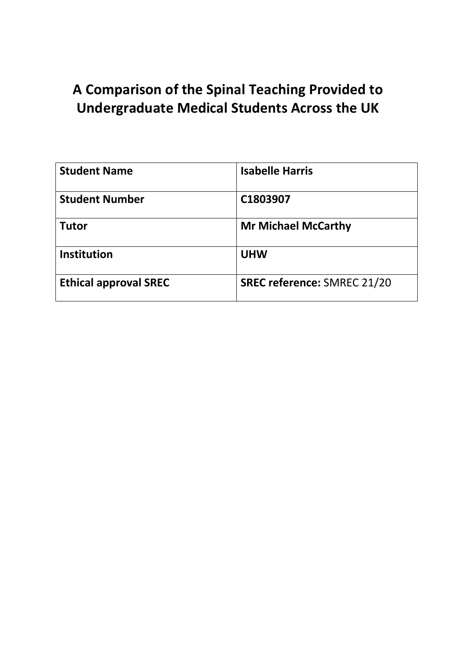# **A Comparison of the Spinal Teaching Provided to Undergraduate Medical Students Across the UK**

| <b>Student Name</b>          | <b>Isabelle Harris</b>             |
|------------------------------|------------------------------------|
| <b>Student Number</b>        | C1803907                           |
| <b>Tutor</b>                 | <b>Mr Michael McCarthy</b>         |
| <b>Institution</b>           | <b>UHW</b>                         |
| <b>Ethical approval SREC</b> | <b>SREC reference: SMREC 21/20</b> |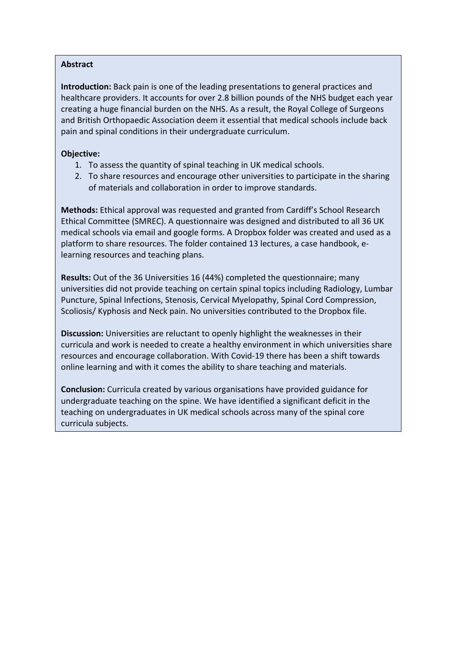# **Abstract**

**Introduction:** Back pain is one of the leading presentations to general practices and healthcare providers. It accounts for over 2.8 billion pounds of the NHS budget each year creating a huge financial burden on the NHS. As a result, the Royal College of Surgeons and British Orthopaedic Association deem it essential that medical schools include back pain and spinal conditions in their undergraduate curriculum.

# **Objective:**

- 1. To assess the quantity of spinal teaching in UK medical schools.
- 2. To share resources and encourage other universities to participate in the sharing of materials and collaboration in order to improve standards.

**Methods:** Ethical approval was requested and granted from Cardiff's School Research Ethical Committee (SMREC). A questionnaire was designed and distributed to all 36 UK medical schools via email and google forms. A Dropbox folder was created and used as a platform to share resources. The folder contained 13 lectures, a case handbook, elearning resources and teaching plans.

**Results:** Out of the 36 Universities 16 (44%) completed the questionnaire; many universities did not provide teaching on certain spinal topics including Radiology, Lumbar Puncture, Spinal Infections, Stenosis, Cervical Myelopathy, Spinal Cord Compression, Scoliosis/ Kyphosis and Neck pain. No universities contributed to the Dropbox file.

**Discussion:** Universities are reluctant to openly highlight the weaknesses in their curricula and work is needed to create a healthy environment in which universities share resources and encourage collaboration. With Covid-19 there has been a shift towards online learning and with it comes the ability to share teaching and materials.

**Conclusion:** Curricula created by various organisations have provided guidance for undergraduate teaching on the spine. We have identified a significant deficit in the teaching on undergraduates in UK medical schools across many of the spinal core curricula subjects.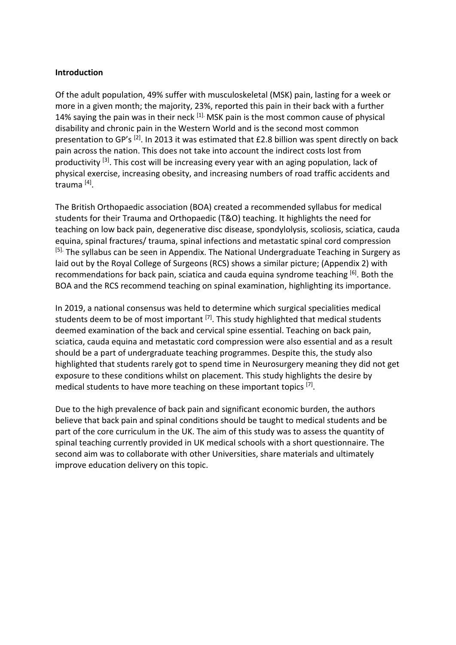## **Introduction**

Of the adult population, 49% suffer with musculoskeletal (MSK) pain, lasting for a week or more in a given month; the majority, 23%, reported this pain in their back with a further 14% saying the pain was in their neck <sup>[1].</sup> MSK pain is the most common cause of physical disability and chronic pain in the Western World and is the second most common presentation to GP's <sup>[2]</sup>. In 2013 it was estimated that £2.8 billion was spent directly on back pain across the nation. This does not take into account the indirect costs lost from productivity <sup>[3]</sup>. This cost will be increasing every year with an aging population, lack of physical exercise, increasing obesity, and increasing numbers of road traffic accidents and trauma [4].

The British Orthopaedic association (BOA) created a recommended syllabus for medical students for their Trauma and Orthopaedic (T&O) teaching. It highlights the need for teaching on low back pain, degenerative disc disease, spondylolysis, scoliosis, sciatica, cauda equina, spinal fractures/ trauma, spinal infections and metastatic spinal cord compression <sup>[5].</sup> The syllabus can be seen in Appendix. The National Undergraduate Teaching in Surgery as laid out by the Royal College of Surgeons (RCS) shows a similar picture; (Appendix 2) with recommendations for back pain, sciatica and cauda equina syndrome teaching [6]. Both the BOA and the RCS recommend teaching on spinal examination, highlighting its importance.

In 2019, a national consensus was held to determine which surgical specialities medical students deem to be of most important  $[7]$ . This study highlighted that medical students deemed examination of the back and cervical spine essential. Teaching on back pain, sciatica, cauda equina and metastatic cord compression were also essential and as a result should be a part of undergraduate teaching programmes. Despite this, the study also highlighted that students rarely got to spend time in Neurosurgery meaning they did not get exposure to these conditions whilst on placement. This study highlights the desire by medical students to have more teaching on these important topics [7].

Due to the high prevalence of back pain and significant economic burden, the authors believe that back pain and spinal conditions should be taught to medical students and be part of the core curriculum in the UK. The aim of this study was to assess the quantity of spinal teaching currently provided in UK medical schools with a short questionnaire. The second aim was to collaborate with other Universities, share materials and ultimately improve education delivery on this topic.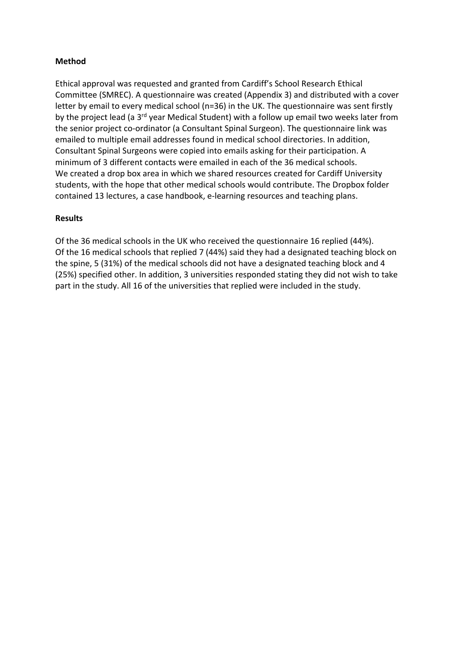# **Method**

Ethical approval was requested and granted from Cardiff's School Research Ethical Committee (SMREC). A questionnaire was created (Appendix 3) and distributed with a cover letter by email to every medical school (n=36) in the UK. The questionnaire was sent firstly by the project lead (a 3<sup>rd</sup> year Medical Student) with a follow up email two weeks later from the senior project co-ordinator (a Consultant Spinal Surgeon). The questionnaire link was emailed to multiple email addresses found in medical school directories. In addition, Consultant Spinal Surgeons were copied into emails asking for their participation. A minimum of 3 different contacts were emailed in each of the 36 medical schools. We created a drop box area in which we shared resources created for Cardiff University students, with the hope that other medical schools would contribute. The Dropbox folder contained 13 lectures, a case handbook, e-learning resources and teaching plans.

# **Results**

Of the 36 medical schools in the UK who received the questionnaire 16 replied (44%). Of the 16 medical schools that replied 7 (44%) said they had a designated teaching block on the spine, 5 (31%) of the medical schools did not have a designated teaching block and 4 (25%) specified other. In addition, 3 universities responded stating they did not wish to take part in the study. All 16 of the universities that replied were included in the study.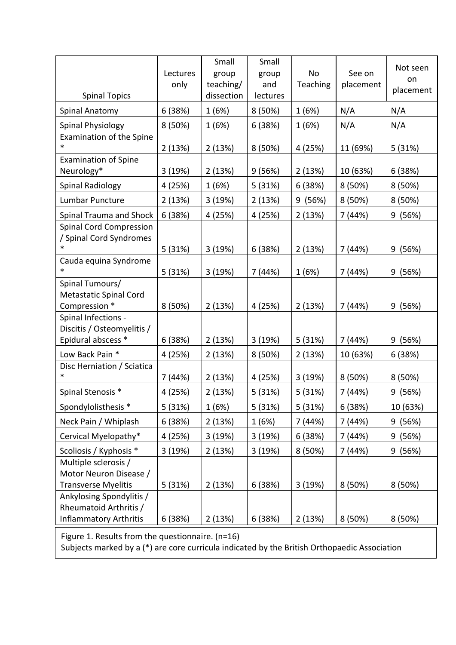| <b>Spinal Topics</b>                                                         | Lectures<br>only | Small<br>group<br>teaching/<br>dissection | Small<br>group<br>and<br>lectures | No<br>Teaching | See on<br>placement | Not seen<br>on<br>placement |
|------------------------------------------------------------------------------|------------------|-------------------------------------------|-----------------------------------|----------------|---------------------|-----------------------------|
| Spinal Anatomy                                                               | 6(38%)           | 1(6%)                                     | 8(50%)                            | 1(6%)          | N/A                 | N/A                         |
| Spinal Physiology                                                            | 8 (50%)          | 1(6%)                                     | 6 (38%)                           | 1(6%)          | N/A                 | N/A                         |
| <b>Examination of the Spine</b><br>*                                         | 2(13%)           | 2(13%)                                    | 8 (50%)                           | 4 (25%)        | 11 (69%)            | 5 (31%)                     |
| <b>Examination of Spine</b><br>Neurology*                                    | 3 (19%)          | 2(13%)                                    | 9(56%)                            | 2(13%)         | 10 (63%)            | 6(38%)                      |
| Spinal Radiology                                                             | 4 (25%)          | 1(6%)                                     | 5 (31%)                           | 6(38%)         | 8 (50%)             | 8 (50%)                     |
| Lumbar Puncture                                                              | 2(13%)           | 3 (19%)                                   | 2(13%)                            | 9 (56%)        | 8 (50%)             | 8 (50%)                     |
| Spinal Trauma and Shock                                                      | 6(38%)           | 4 (25%)                                   | 4 (25%)                           | 2(13%)         | 7 (44%)             | (56%)<br>9                  |
| <b>Spinal Cord Compression</b><br>/ Spinal Cord Syndromes<br>*               | 5(31%)           | 3(19%)                                    | 6(38%)                            | 2(13%)         | 7 (44%)             | 9 (56%)                     |
| Cauda equina Syndrome                                                        | 5(31%)           | 3(19%)                                    | 7 (44%)                           | 1(6%)          | 7 (44%)             | 9 (56%)                     |
| Spinal Tumours/<br>Metastatic Spinal Cord<br>Compression *                   | 8 (50%)          | 2(13%)                                    | 4 (25%)                           | 2(13%)         | 7 (44%)             | 9(56%)                      |
| Spinal Infections -<br>Discitis / Osteomyelitis /                            |                  |                                           |                                   |                |                     |                             |
| Epidural abscess *                                                           | 6(38%)           | 2(13%)                                    | 3(19%)                            | 5 (31%)        | 7 (44%)             | (56%)<br>9                  |
| Low Back Pain *<br>Disc Herniation / Sciatica                                | 4 (25%)          | 2(13%)                                    | 8 (50%)                           | 2(13%)         | 10 (63%)            | 6(38%)                      |
| $\ast$                                                                       | 7 (44%)          | 2(13%)                                    | 4 (25%)                           | 3 (19%)        | 8 (50%)             | 8 (50%)                     |
| Spinal Stenosis *                                                            | 4 (25%)          | 2(13%)                                    | 5(31%)                            | 5 (31%)        | 7 (44%)             | 9 (56%)                     |
| Spondylolisthesis *                                                          | 5 (31%)          | 1(6%)                                     | 5 (31%)                           | 5 (31%)        | 6 (38%)             | 10 (63%)                    |
| Neck Pain / Whiplash                                                         | 6(38%)           | 2 (13%)                                   | 1 (6%)                            | 7 (44%)        | 7 (44%)             | 9(56%)                      |
| Cervical Myelopathy*                                                         | 4 (25%)          | 3 (19%)                                   | 3 (19%)                           | 6(38%)         | 7 (44%)             | (56%)<br>9                  |
| Scoliosis / Kyphosis *                                                       | 3(19%)           | 2 (13%)                                   | 3(19%)                            | 8 (50%)        | 7 (44%)             | 9(56%)                      |
| Multiple sclerosis /<br>Motor Neuron Disease /<br><b>Transverse Myelitis</b> | 5 (31%)          | 2(13%)                                    | 6(38%)                            | 3 (19%)        | 8 (50%)             | 8 (50%)                     |
| Ankylosing Spondylitis /<br>Rheumatoid Arthritis /                           |                  |                                           |                                   |                |                     |                             |
| <b>Inflammatory Arthritis</b>                                                | 6(38%)           | 2(13%)                                    | 6(38%)                            | 2(13%)         | 8 (50%)             | 8(50%)                      |

Figure 1. Results from the questionnaire. (n=16) Subjects marked by a (\*) are core curricula indicated by the British Orthopaedic Association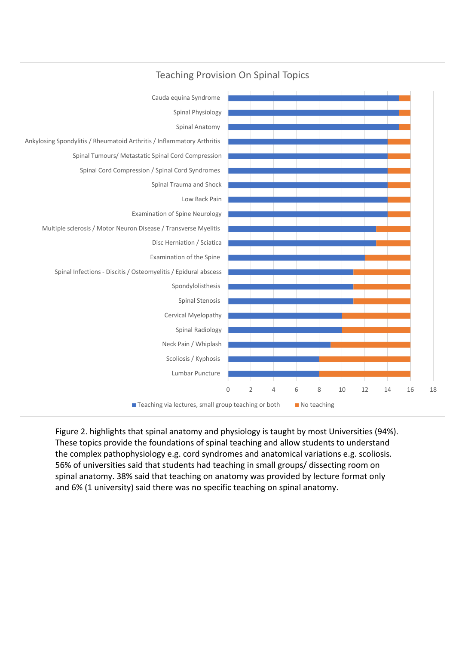

# Teaching Provision On Spinal Topics

Figure 2. highlights that spinal anatomy and physiology is taught by most Universities (94%). These topics provide the foundations of spinal teaching and allow students to understand the complex pathophysiology e.g. cord syndromes and anatomical variations e.g. scoliosis. 56% of universities said that students had teaching in small groups/ dissecting room on spinal anatomy. 38% said that teaching on anatomy was provided by lecture format only and 6% (1 university) said there was no specific teaching on spinal anatomy.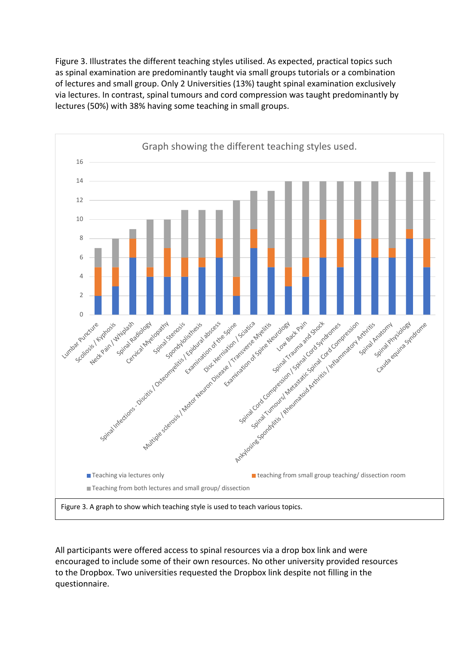Figure 3. Illustrates the different teaching styles utilised. As expected, practical topics such as spinal examination are predominantly taught via small groups tutorials or a combination of lectures and small group. Only 2 Universities (13%) taught spinal examination exclusively via lectures. In contrast, spinal tumours and cord compression was taught predominantly by lectures (50%) with 38% having some teaching in small groups.



All participants were offered access to spinal resources via a drop box link and were encouraged to include some of their own resources. No other university provided resources to the Dropbox. Two universities requested the Dropbox link despite not filling in the questionnaire.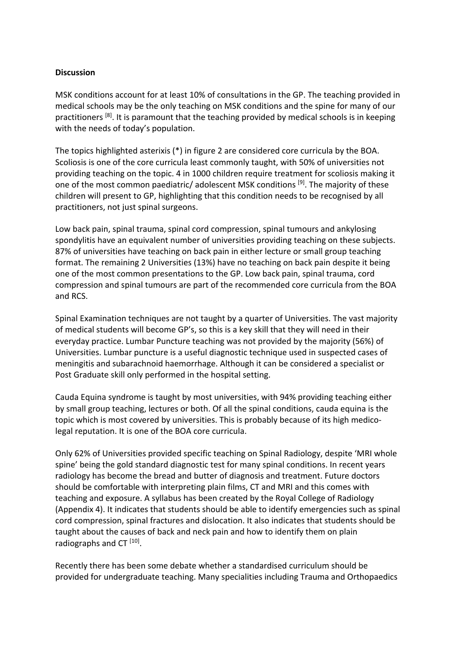# **Discussion**

MSK conditions account for at least 10% of consultations in the GP. The teaching provided in medical schools may be the only teaching on MSK conditions and the spine for many of our practitioners  $[8]$ . It is paramount that the teaching provided by medical schools is in keeping with the needs of today's population.

The topics highlighted asterixis (\*) in figure 2 are considered core curricula by the BOA. Scoliosis is one of the core curricula least commonly taught, with 50% of universities not providing teaching on the topic. 4 in 1000 children require treatment for scoliosis making it one of the most common paediatric/ adolescent MSK conditions [9]. The majority of these children will present to GP, highlighting that this condition needs to be recognised by all practitioners, not just spinal surgeons.

Low back pain, spinal trauma, spinal cord compression, spinal tumours and ankylosing spondylitis have an equivalent number of universities providing teaching on these subjects. 87% of universities have teaching on back pain in either lecture or small group teaching format. The remaining 2 Universities (13%) have no teaching on back pain despite it being one of the most common presentations to the GP. Low back pain, spinal trauma, cord compression and spinal tumours are part of the recommended core curricula from the BOA and RCS.

Spinal Examination techniques are not taught by a quarter of Universities. The vast majority of medical students will become GP's, so this is a key skill that they will need in their everyday practice. Lumbar Puncture teaching was not provided by the majority (56%) of Universities. Lumbar puncture is a useful diagnostic technique used in suspected cases of meningitis and subarachnoid haemorrhage. Although it can be considered a specialist or Post Graduate skill only performed in the hospital setting.

Cauda Equina syndrome is taught by most universities, with 94% providing teaching either by small group teaching, lectures or both. Of all the spinal conditions, cauda equina is the topic which is most covered by universities. This is probably because of its high medicolegal reputation. It is one of the BOA core curricula.

Only 62% of Universities provided specific teaching on Spinal Radiology, despite 'MRI whole spine' being the gold standard diagnostic test for many spinal conditions. In recent years radiology has become the bread and butter of diagnosis and treatment. Future doctors should be comfortable with interpreting plain films, CT and MRI and this comes with teaching and exposure. A syllabus has been created by the Royal College of Radiology (Appendix 4). It indicates that students should be able to identify emergencies such as spinal cord compression, spinal fractures and dislocation. It also indicates that students should be taught about the causes of back and neck pain and how to identify them on plain radiographs and CT<sup>[10]</sup>.

Recently there has been some debate whether a standardised curriculum should be provided for undergraduate teaching. Many specialities including Trauma and Orthopaedics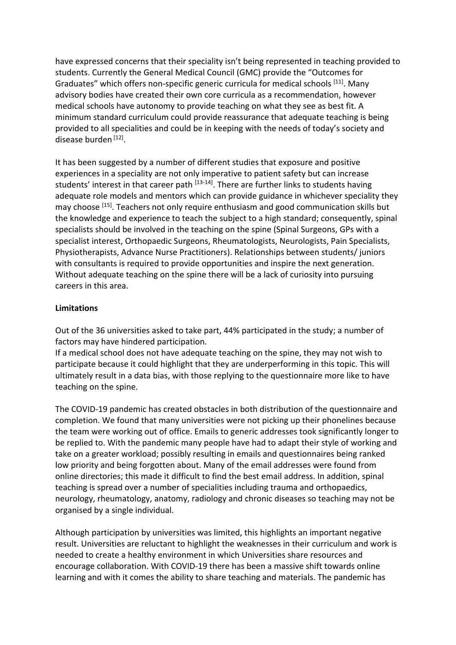have expressed concerns that their speciality isn't being represented in teaching provided to students. Currently the General Medical Council (GMC) provide the "Outcomes for Graduates" which offers non-specific generic curricula for medical schools [11]. Many advisory bodies have created their own core curricula as a recommendation, however medical schools have autonomy to provide teaching on what they see as best fit. A minimum standard curriculum could provide reassurance that adequate teaching is being provided to all specialities and could be in keeping with the needs of today's society and disease burden [12].

It has been suggested by a number of different studies that exposure and positive experiences in a speciality are not only imperative to patient safety but can increase students' interest in that career path  $[13-14]$ . There are further links to students having adequate role models and mentors which can provide guidance in whichever speciality they may choose [15]. Teachers not only require enthusiasm and good communication skills but the knowledge and experience to teach the subject to a high standard; consequently, spinal specialists should be involved in the teaching on the spine (Spinal Surgeons, GPs with a specialist interest, Orthopaedic Surgeons, Rheumatologists, Neurologists, Pain Specialists, Physiotherapists, Advance Nurse Practitioners). Relationships between students/ juniors with consultants is required to provide opportunities and inspire the next generation. Without adequate teaching on the spine there will be a lack of curiosity into pursuing careers in this area.

# **Limitations**

Out of the 36 universities asked to take part, 44% participated in the study; a number of factors may have hindered participation.

If a medical school does not have adequate teaching on the spine, they may not wish to participate because it could highlight that they are underperforming in this topic. This will ultimately result in a data bias, with those replying to the questionnaire more like to have teaching on the spine.

The COVID-19 pandemic has created obstacles in both distribution of the questionnaire and completion. We found that many universities were not picking up their phonelines because the team were working out of office. Emails to generic addresses took significantly longer to be replied to. With the pandemic many people have had to adapt their style of working and take on a greater workload; possibly resulting in emails and questionnaires being ranked low priority and being forgotten about. Many of the email addresses were found from online directories; this made it difficult to find the best email address. In addition, spinal teaching is spread over a number of specialities including trauma and orthopaedics, neurology, rheumatology, anatomy, radiology and chronic diseases so teaching may not be organised by a single individual.

Although participation by universities was limited, this highlights an important negative result. Universities are reluctant to highlight the weaknesses in their curriculum and work is needed to create a healthy environment in which Universities share resources and encourage collaboration. With COVID-19 there has been a massive shift towards online learning and with it comes the ability to share teaching and materials. The pandemic has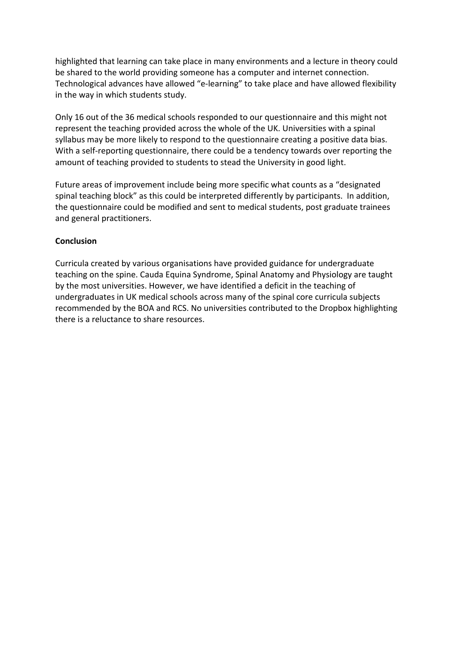highlighted that learning can take place in many environments and a lecture in theory could be shared to the world providing someone has a computer and internet connection. Technological advances have allowed "e-learning" to take place and have allowed flexibility in the way in which students study.

Only 16 out of the 36 medical schools responded to our questionnaire and this might not represent the teaching provided across the whole of the UK. Universities with a spinal syllabus may be more likely to respond to the questionnaire creating a positive data bias. With a self-reporting questionnaire, there could be a tendency towards over reporting the amount of teaching provided to students to stead the University in good light.

Future areas of improvement include being more specific what counts as a "designated spinal teaching block" as this could be interpreted differently by participants. In addition, the questionnaire could be modified and sent to medical students, post graduate trainees and general practitioners.

# **Conclusion**

Curricula created by various organisations have provided guidance for undergraduate teaching on the spine. Cauda Equina Syndrome, Spinal Anatomy and Physiology are taught by the most universities. However, we have identified a deficit in the teaching of undergraduates in UK medical schools across many of the spinal core curricula subjects recommended by the BOA and RCS. No universities contributed to the Dropbox highlighting there is a reluctance to share resources.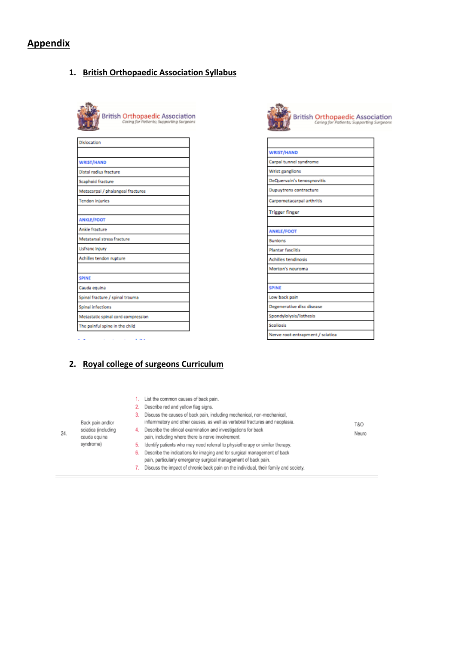# **Appendix**

# **1. British Orthopaedic Association Syllabus**

| <b>British Orthopaedic Association</b><br>Caring for Patients; Supporting Surgeons |
|------------------------------------------------------------------------------------|
| Dislocation                                                                        |
| <b>WRIST/HAND</b>                                                                  |
| Distal radius fracture                                                             |
| Scaphoid fracture                                                                  |
| Metacarpal / phalangeal fractures                                                  |
| <b>Tendon injuries</b>                                                             |
|                                                                                    |
| <b>ANKLE/FOOT</b>                                                                  |
| Ankle fracture                                                                     |
| Metatarsal stress fracture                                                         |
| Lisfranc injury                                                                    |
| Achilles tendon rupture                                                            |
|                                                                                    |
| <b>SPINE</b>                                                                       |
| Cauda equina                                                                       |
| Spinal fracture / spinal trauma                                                    |
| Spinal infections                                                                  |
| Metastatic spinal cord compression                                                 |
| The painful spine in the child                                                     |
|                                                                                    |



# **2. Royal college of surgeons Curriculum**

| 24. | Back pain and/or<br>sciatica (including<br>cauda equina<br>syndrome) | 5.<br>6. | List the common causes of back pain.<br>Describe red and yellow flag signs.<br>Discuss the causes of back pain, including mechanical, non-mechanical,<br>inflammatory and other causes, as well as vertebral fractures and neoplasia.<br>Describe the clinical examination and investigations for back<br>pain, including where there is nerve involvement.<br>Identify patients who may need referral to physiotherapy or similar therapy.<br>Describe the indications for imaging and for surgical management of back<br>pain, particularly emergency surgical management of back pain. | T&O<br>Neuro |
|-----|----------------------------------------------------------------------|----------|-------------------------------------------------------------------------------------------------------------------------------------------------------------------------------------------------------------------------------------------------------------------------------------------------------------------------------------------------------------------------------------------------------------------------------------------------------------------------------------------------------------------------------------------------------------------------------------------|--------------|
|     |                                                                      |          |                                                                                                                                                                                                                                                                                                                                                                                                                                                                                                                                                                                           |              |
|     |                                                                      |          | Discuss the impact of chronic back pain on the individual, their family and society.                                                                                                                                                                                                                                                                                                                                                                                                                                                                                                      |              |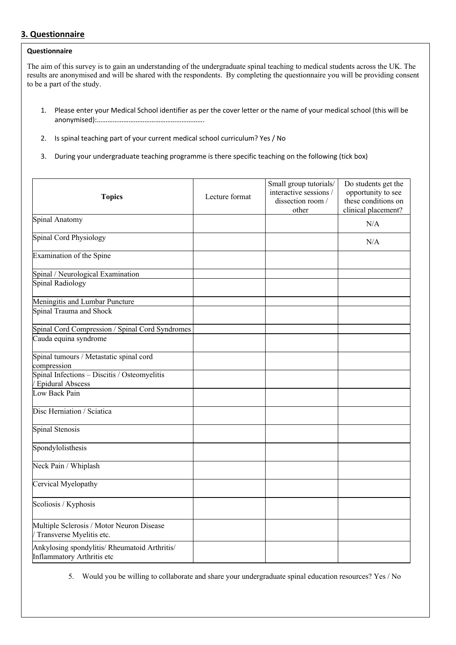## **3. Questionnaire**

### **Questionnaire**

The aim of this survey is to gain an understanding of the undergraduate spinal teaching to medical students across the UK. The results are anonymised and will be shared with the respondents. By completing the questionnaire you will be providing consent to be a part of the study.

- 1. Please enter your Medical School identifier as per the cover letter or the name of your medical school (this will be anonymised):…………………………………………………….
- 2. Is spinal teaching part of your current medical school curriculum? Yes / No
- 3. During your undergraduate teaching programme is there specific teaching on the following (tick box)

| <b>Topics</b>                                                               | Lecture format | Small group tutorials/<br>interactive sessions /<br>dissection room /<br>other | Do students get the<br>opportunity to see<br>these conditions on<br>clinical placement? |
|-----------------------------------------------------------------------------|----------------|--------------------------------------------------------------------------------|-----------------------------------------------------------------------------------------|
| Spinal Anatomy                                                              |                |                                                                                | N/A                                                                                     |
| Spinal Cord Physiology                                                      |                |                                                                                | N/A                                                                                     |
| Examination of the Spine                                                    |                |                                                                                |                                                                                         |
| Spinal / Neurological Examination                                           |                |                                                                                |                                                                                         |
| Spinal Radiology                                                            |                |                                                                                |                                                                                         |
| Meningitis and Lumbar Puncture                                              |                |                                                                                |                                                                                         |
| Spinal Trauma and Shock                                                     |                |                                                                                |                                                                                         |
| Spinal Cord Compression / Spinal Cord Syndromes                             |                |                                                                                |                                                                                         |
| Cauda equina syndrome                                                       |                |                                                                                |                                                                                         |
| Spinal tumours / Metastatic spinal cord<br>compression                      |                |                                                                                |                                                                                         |
| Spinal Infections - Discitis / Osteomyelitis<br>/ Epidural Abscess          |                |                                                                                |                                                                                         |
| Low Back Pain                                                               |                |                                                                                |                                                                                         |
| Disc Herniation / Sciatica                                                  |                |                                                                                |                                                                                         |
| Spinal Stenosis                                                             |                |                                                                                |                                                                                         |
| Spondylolisthesis                                                           |                |                                                                                |                                                                                         |
| Neck Pain / Whiplash                                                        |                |                                                                                |                                                                                         |
| Cervical Myelopathy                                                         |                |                                                                                |                                                                                         |
| Scoliosis / Kyphosis                                                        |                |                                                                                |                                                                                         |
| Multiple Sclerosis / Motor Neuron Disease<br>Transverse Myelitis etc.       |                |                                                                                |                                                                                         |
| Ankylosing spondylitis/ Rheumatoid Arthritis/<br>Inflammatory Arthritis etc |                |                                                                                |                                                                                         |

5. Would you be willing to collaborate and share your undergraduate spinal education resources? Yes / No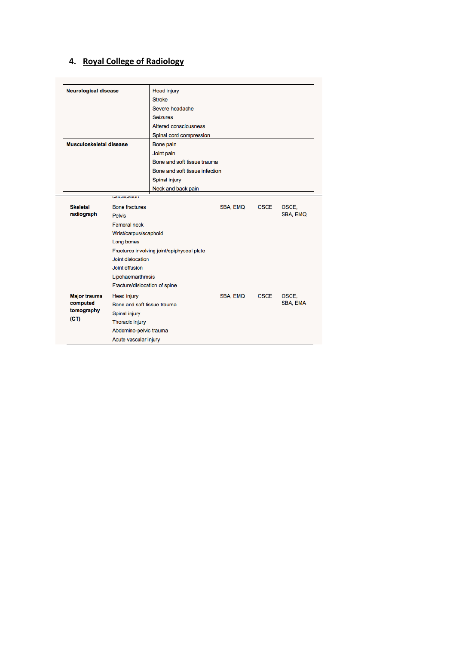# **4. Royal College of Radiology**

| <b>Neurological disease</b><br>Head injury<br>Stroke<br>Severe headache<br><b>Seizures</b><br>Altered consciousness<br>Spinal cord compression<br>Musculoskeletal disease<br>Bone pain<br>Joint pain<br>Bone and soft tissue trauma<br>Bone and soft tissue infection<br>Spinal injury<br>Neck and back pain<br>ualullluation<br><b>Skeletal</b><br><b>Bone fractures</b><br>SBA, EMQ<br>OSCE.<br><b>OSCE</b><br>radiograph<br>SBA, EMQ<br><b>Pelvis</b><br>Femoral neck<br>Wrist/carpus/scaphoid<br>Long bones<br>Fractures involving joint/epiphyseal plate<br>Joint dislocation<br>Joint effusion<br>Lipohaemarthrosis<br>Fracture/dislocation of spine<br><b>OSCE</b><br>OSCE.<br><b>Major trauma</b><br>Head injury<br>SBA, EMQ<br>SBA, EMA<br>computed<br>Bone and soft tissue trauma<br>tomography<br>Spinal injury<br>(CT)<br>Thoracic injury<br>Abdomino-pelvic trauma<br>Acute vascular injury |  |  |  |  |  |  |  |  |
|----------------------------------------------------------------------------------------------------------------------------------------------------------------------------------------------------------------------------------------------------------------------------------------------------------------------------------------------------------------------------------------------------------------------------------------------------------------------------------------------------------------------------------------------------------------------------------------------------------------------------------------------------------------------------------------------------------------------------------------------------------------------------------------------------------------------------------------------------------------------------------------------------------|--|--|--|--|--|--|--|--|
|                                                                                                                                                                                                                                                                                                                                                                                                                                                                                                                                                                                                                                                                                                                                                                                                                                                                                                          |  |  |  |  |  |  |  |  |
|                                                                                                                                                                                                                                                                                                                                                                                                                                                                                                                                                                                                                                                                                                                                                                                                                                                                                                          |  |  |  |  |  |  |  |  |
|                                                                                                                                                                                                                                                                                                                                                                                                                                                                                                                                                                                                                                                                                                                                                                                                                                                                                                          |  |  |  |  |  |  |  |  |
|                                                                                                                                                                                                                                                                                                                                                                                                                                                                                                                                                                                                                                                                                                                                                                                                                                                                                                          |  |  |  |  |  |  |  |  |
|                                                                                                                                                                                                                                                                                                                                                                                                                                                                                                                                                                                                                                                                                                                                                                                                                                                                                                          |  |  |  |  |  |  |  |  |
|                                                                                                                                                                                                                                                                                                                                                                                                                                                                                                                                                                                                                                                                                                                                                                                                                                                                                                          |  |  |  |  |  |  |  |  |
|                                                                                                                                                                                                                                                                                                                                                                                                                                                                                                                                                                                                                                                                                                                                                                                                                                                                                                          |  |  |  |  |  |  |  |  |
|                                                                                                                                                                                                                                                                                                                                                                                                                                                                                                                                                                                                                                                                                                                                                                                                                                                                                                          |  |  |  |  |  |  |  |  |
|                                                                                                                                                                                                                                                                                                                                                                                                                                                                                                                                                                                                                                                                                                                                                                                                                                                                                                          |  |  |  |  |  |  |  |  |
|                                                                                                                                                                                                                                                                                                                                                                                                                                                                                                                                                                                                                                                                                                                                                                                                                                                                                                          |  |  |  |  |  |  |  |  |
|                                                                                                                                                                                                                                                                                                                                                                                                                                                                                                                                                                                                                                                                                                                                                                                                                                                                                                          |  |  |  |  |  |  |  |  |
|                                                                                                                                                                                                                                                                                                                                                                                                                                                                                                                                                                                                                                                                                                                                                                                                                                                                                                          |  |  |  |  |  |  |  |  |
|                                                                                                                                                                                                                                                                                                                                                                                                                                                                                                                                                                                                                                                                                                                                                                                                                                                                                                          |  |  |  |  |  |  |  |  |
|                                                                                                                                                                                                                                                                                                                                                                                                                                                                                                                                                                                                                                                                                                                                                                                                                                                                                                          |  |  |  |  |  |  |  |  |
|                                                                                                                                                                                                                                                                                                                                                                                                                                                                                                                                                                                                                                                                                                                                                                                                                                                                                                          |  |  |  |  |  |  |  |  |
|                                                                                                                                                                                                                                                                                                                                                                                                                                                                                                                                                                                                                                                                                                                                                                                                                                                                                                          |  |  |  |  |  |  |  |  |
|                                                                                                                                                                                                                                                                                                                                                                                                                                                                                                                                                                                                                                                                                                                                                                                                                                                                                                          |  |  |  |  |  |  |  |  |
|                                                                                                                                                                                                                                                                                                                                                                                                                                                                                                                                                                                                                                                                                                                                                                                                                                                                                                          |  |  |  |  |  |  |  |  |
|                                                                                                                                                                                                                                                                                                                                                                                                                                                                                                                                                                                                                                                                                                                                                                                                                                                                                                          |  |  |  |  |  |  |  |  |
|                                                                                                                                                                                                                                                                                                                                                                                                                                                                                                                                                                                                                                                                                                                                                                                                                                                                                                          |  |  |  |  |  |  |  |  |
|                                                                                                                                                                                                                                                                                                                                                                                                                                                                                                                                                                                                                                                                                                                                                                                                                                                                                                          |  |  |  |  |  |  |  |  |
|                                                                                                                                                                                                                                                                                                                                                                                                                                                                                                                                                                                                                                                                                                                                                                                                                                                                                                          |  |  |  |  |  |  |  |  |
|                                                                                                                                                                                                                                                                                                                                                                                                                                                                                                                                                                                                                                                                                                                                                                                                                                                                                                          |  |  |  |  |  |  |  |  |
|                                                                                                                                                                                                                                                                                                                                                                                                                                                                                                                                                                                                                                                                                                                                                                                                                                                                                                          |  |  |  |  |  |  |  |  |
|                                                                                                                                                                                                                                                                                                                                                                                                                                                                                                                                                                                                                                                                                                                                                                                                                                                                                                          |  |  |  |  |  |  |  |  |
|                                                                                                                                                                                                                                                                                                                                                                                                                                                                                                                                                                                                                                                                                                                                                                                                                                                                                                          |  |  |  |  |  |  |  |  |
|                                                                                                                                                                                                                                                                                                                                                                                                                                                                                                                                                                                                                                                                                                                                                                                                                                                                                                          |  |  |  |  |  |  |  |  |
|                                                                                                                                                                                                                                                                                                                                                                                                                                                                                                                                                                                                                                                                                                                                                                                                                                                                                                          |  |  |  |  |  |  |  |  |
|                                                                                                                                                                                                                                                                                                                                                                                                                                                                                                                                                                                                                                                                                                                                                                                                                                                                                                          |  |  |  |  |  |  |  |  |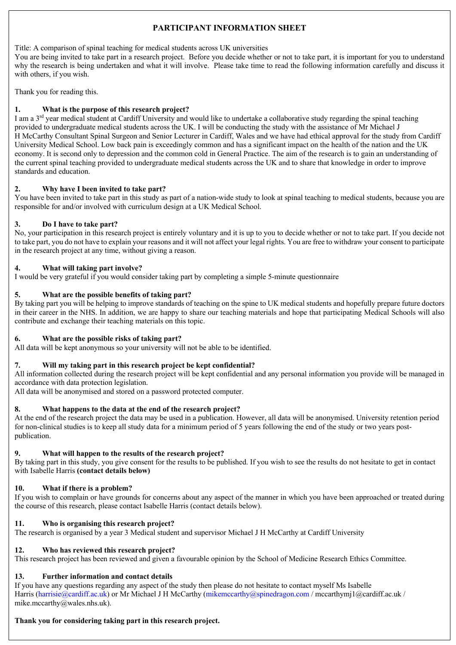# **PARTICIPANT INFORMATION SHEET**

**5. Information Sheet** with others, if you wish. Title: A comparison of spinal teaching for medical students across UK universities You are being invited to take part in a research project. Before you decide whether or not to take part, it is important for you to understand why the research is being undertaken and what it will involve. Please take time to read the following information carefully and discuss it

Thank you for reading this.

#### **1. What is the purpose of this research project?**

I am a 3rd year medical student at Cardiff University and would like to undertake a collaborative study regarding the spinal teaching provided to undergraduate medical students across the UK. I will be conducting the study with the assistance of Mr Michael J H McCarthy Consultant Spinal Surgeon and Senior Lecturer in Cardiff, Wales and we have had ethical approval for the study from Cardiff University Medical School. Low back pain is exceedingly common and has a significant impact on the health of the nation and the UK economy. It is second only to depression and the common cold in General Practice. The aim of the research is to gain an understanding of the current spinal teaching provided to undergraduate medical students across the UK and to share that knowledge in order to improve standards and education.

#### **2. Why have I been invited to take part?**

You have been invited to take part in this study as part of a nation-wide study to look at spinal teaching to medical students, because you are responsible for and/or involved with curriculum design at a UK Medical School.

#### **3. Do I have to take part?**

No, your participation in this research project is entirely voluntary and it is up to you to decide whether or not to take part. If you decide not to take part, you do not have to explain your reasons and it will not affect your legal rights. You are free to withdraw your consent to participate in the research project at any time, without giving a reason.

#### **4. What will taking part involve?**

I would be very grateful if you would consider taking part by completing a simple 5-minute questionnaire

#### **5. What are the possible benefits of taking part?**

By taking part you will be helping to improve standards of teaching on the spine to UK medical students and hopefully prepare future doctors in their career in the NHS. In addition, we are happy to share our teaching materials and hope that participating Medical Schools will also contribute and exchange their teaching materials on this topic.

#### **6. What are the possible risks of taking part?**

All data will be kept anonymous so your university will not be able to be identified.

#### **7. Will my taking part in this research project be kept confidential?**

All information collected during the research project will be kept confidential and any personal information you provide will be managed in accordance with data protection legislation.

All data will be anonymised and stored on a password protected computer.

#### **8. What happens to the data at the end of the research project?**

At the end of the research project the data may be used in a publication. However, all data will be anonymised. University retention period for non-clinical studies is to keep all study data for a minimum period of 5 years following the end of the study or two years postpublication.

#### **9. What will happen to the results of the research project?**

By taking part in this study, you give consent for the results to be published. If you wish to see the results do not hesitate to get in contact with Isabelle Harris **(contact details below)**

## **10. What if there is a problem?**

If you wish to complain or have grounds for concerns about any aspect of the manner in which you have been approached or treated during the course of this research, please contact Isabelle Harris (contact details below).

#### **11. Who is organising this research project?**

The research is organised by a year 3 Medical student and supervisor Michael J H McCarthy at Cardiff University

#### **12. Who has reviewed this research project?**

This research project has been reviewed and given a favourable opinion by the School of Medicine Research Ethics Committee.

#### **13. Further information and contact details**

If you have any questions regarding any aspect of the study then please do not hesitate to contact myself Ms Isabelle Harris (harrisie@cardiff.ac.uk) or Mr Michael J H McCarthy (mikemccarthy@spinedragon.com / mccarthymj1@cardiff.ac.uk / mike.mccarthy@wales.nhs.uk).

## **Thank you for considering taking part in this research project.**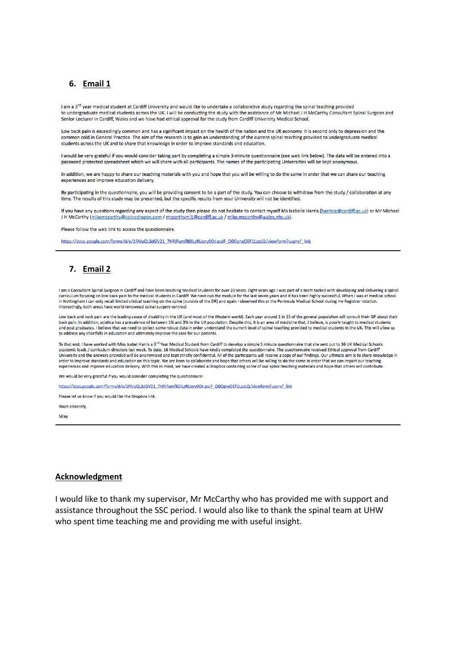#### **6. Email 1**

Lam a 3<sup>rd</sup> year medical student at Cardiff University and would like to undertake a collaborative study regarding the spinal teaching provided to undergraduate medical students across the UK. I will be conducting the study with the assistance of Mr Michael J H McCarthy Consultant Spinal Surgeon and Senior Lecturer in Cardiff, Wales and we have had ethical approval for the study from Cardiff University Medical School.

Low back pain is exceedingly common and has a significant impact on the health of the nation and the UK economy. It is second only to depression and the common cold in General Practice. The aim of the research is to gain an understanding of the current spinal teaching provided to undergraduate medical students across the UK and to share that knowledge in order to improve standards and education.

I would be very grateful if you would consider taking part by completing a simple 3-minute questionnaire (see web link below). The data will be entered into a password protected spreadsheet which we will share with all participants. The names of the participating Universities will be kept anonymous.

In addition, we are happy to share our teaching materials with you and hope that you will be willing to do the same in order that we can share our teaching experiences and improve education delivery

By participating in the questionnaire, you will be providing consent to be a part of the study. You can choose to withdraw from the study / collaboration at any time. The results of this study may be presented, but the specific results from your University will not be identified.

If you have any questions regarding any aspect of the study then please do not hesitate to contact myself Ms Isabelle Harris (harrisie@cardiff.ac.uk) or Mr Michael J H McCarthy (mikemccarthy@spinedragon.com / mccarthymj1@cardiff.ac.uk / mike.mccarthy@wales.nhs.uk).

Please follow the web link to access the questionnaire.

https://docs.google.com/forms/d/e/1FAIpQLSdGV21\_7HPJFumfB0iLzRUory0Ot-goJF\_000gnxOEF1LzoLQ/viewform?usp=sf\_link

## **7. Email 2**

I am a Consultant Spinal Surgeon in Cardiff and have been teaching Medical Students for over 20 years. Eight years ago I was part of a team tasked with developing and delivering a spinal curriculum focusing on low back pain to the medical students in Cardiff. We have run the module for the last seven years and it has been highly successful. When I was at medical school entroller and the process of the Direct Contract Contract Contract Contract Contract Contract Contract Contract Contract Contract Contract Contract Contract Contract Contract Contract Contract Contract Contract Contract Co Interestingly, both areas have world renowned spinal surgery centres!

Low back and neck pain are the leading cause of disability in the UK (and most of the Western world). Each year around 1 in 15 of the general population will consult their GP about their back pain. In addition, sciatica has a prevalence of between 1% and 3% in the UK population. Despite this, it is an area of medicine that, I believe, is poorly taught to medical students and post graduates. I believe that we need to collect some robust data in order understand the current level of spinal teaching provided to medical students in the UK. This will allow us to address any shortfalls in education and ultimately improve the care for our patients.

To that end, I have worked with Miss Isabel Harris a 3<sup>rd</sup> Year Medical Student from Cardiff to develop a simple 5 minute questionnaire that she sent out to 36 UK Medical Schools academic leads / curriculum directors last week. To date, 16 Medical Schools have kindly completed the questionnaire. The questionnaire received Ethical approval from Cardiff University and the answers provided will be ano order to improve standards and education on this topic. We are keen to collaborate and hope that others will be willing to do the same in order that we can impart our teaching experiences and improve education delivery. With this in mind, we have created a Dropbox containing some of our spinal teaching materials and hope that others will contribute

We would be very grateful if you would consider completing the questionnaire:

https://docs.google.com/forms/d/e/1FAIpQLSdGV21\_7HPJFumfB0iLzRUory0Ot-goJF\_000gnxOEF1LzoLQ/viewform?usp=sf\_link

Please let us know if you would like the Dropbox link.

Yours sincerely

Mike

#### **Acknowledgment**

I would like to thank my supervisor, Mr McCarthy who has provided me with support and assistance throughout the SSC period. I would also like to thank the spinal team at UHW who spent time teaching me and providing me with useful insight.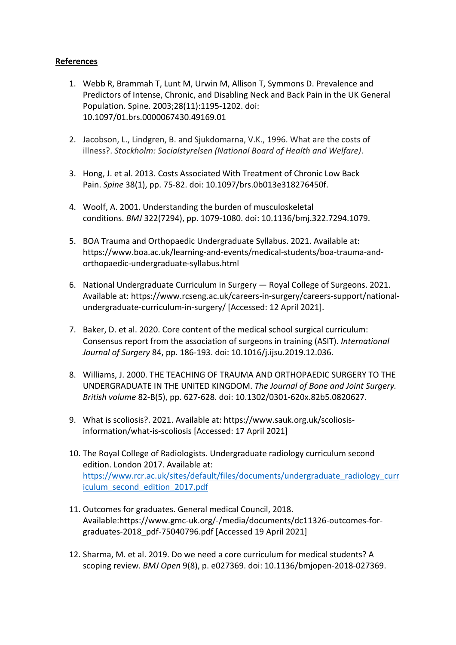# **References**

- 1. Webb R, Brammah T, Lunt M, Urwin M, Allison T, Symmons D. Prevalence and Predictors of Intense, Chronic, and Disabling Neck and Back Pain in the UK General Population. Spine. 2003;28(11):1195-1202. doi: 10.1097/01.brs.0000067430.49169.01
- 2. Jacobson, L., Lindgren, B. and Sjukdomarna, V.K., 1996. What are the costs of illness?. *Stockholm: Socialstyrelsen (National Board of Health and Welfare)*.
- 3. Hong, J. et al. 2013. Costs Associated With Treatment of Chronic Low Back Pain. *Spine* 38(1), pp. 75-82. doi: 10.1097/brs.0b013e318276450f.
- 4. Woolf, A. 2001. Understanding the burden of musculoskeletal conditions. *BMJ* 322(7294), pp. 1079-1080. doi: 10.1136/bmj.322.7294.1079.
- 5. BOA Trauma and Orthopaedic Undergraduate Syllabus. 2021. Available at: https://www.boa.ac.uk/learning-and-events/medical-students/boa-trauma-andorthopaedic-undergraduate-syllabus.html
- 6. National Undergraduate Curriculum in Surgery Royal College of Surgeons. 2021. Available at: https://www.rcseng.ac.uk/careers-in-surgery/careers-support/nationalundergraduate-curriculum-in-surgery/ [Accessed: 12 April 2021].
- 7. Baker, D. et al. 2020. Core content of the medical school surgical curriculum: Consensus report from the association of surgeons in training (ASIT). *International Journal of Surgery* 84, pp. 186-193. doi: 10.1016/j.ijsu.2019.12.036.
- 8. Williams, J. 2000. THE TEACHING OF TRAUMA AND ORTHOPAEDIC SURGERY TO THE UNDERGRADUATE IN THE UNITED KINGDOM. *The Journal of Bone and Joint Surgery. British volume* 82-B(5), pp. 627-628. doi: 10.1302/0301-620x.82b5.0820627.
- 9. What is scoliosis?. 2021. Available at: https://www.sauk.org.uk/scoliosisinformation/what-is-scoliosis [Accessed: 17 April 2021]
- 10. The Royal College of Radiologists. Undergraduate radiology curriculum second edition. London 2017. Available at: https://www.rcr.ac.uk/sites/default/files/documents/undergraduate\_radiology\_curr iculum\_second\_edition\_2017.pdf
- 11. Outcomes for graduates. General medical Council, 2018. Available:https://www.gmc-uk.org/-/media/documents/dc11326-outcomes-forgraduates-2018\_pdf-75040796.pdf [Accessed 19 April 2021]
- 12. Sharma, M. et al. 2019. Do we need a core curriculum for medical students? A scoping review. *BMJ Open* 9(8), p. e027369. doi: 10.1136/bmjopen-2018-027369.